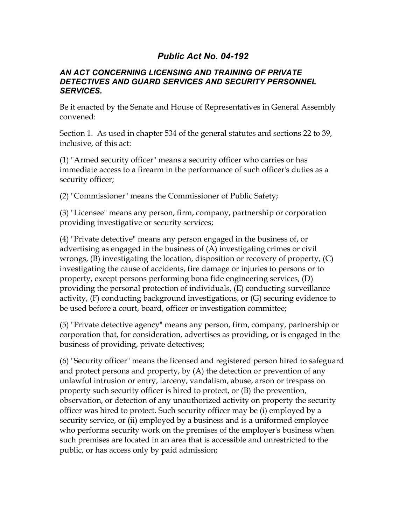## *Public Act No. 04-192*

## *AN ACT CONCERNING LICENSING AND TRAINING OF PRIVATE DETECTIVES AND GUARD SERVICES AND SECURITY PERSONNEL SERVICES.*

Be it enacted by the Senate and House of Representatives in General Assembly convened:

Section 1. As used in chapter 534 of the general statutes and sections 22 to 39, inclusive, of this act:

(1) "Armed security officer" means a security officer who carries or has immediate access to a firearm in the performance of such officer's duties as a security officer;

(2) "Commissioner" means the Commissioner of Public Safety;

(3) "Licensee" means any person, firm, company, partnership or corporation providing investigative or security services;

(4) "Private detective" means any person engaged in the business of, or advertising as engaged in the business of (A) investigating crimes or civil wrongs, (B) investigating the location, disposition or recovery of property, (C) investigating the cause of accidents, fire damage or injuries to persons or to property, except persons performing bona fide engineering services, (D) providing the personal protection of individuals, (E) conducting surveillance activity, (F) conducting background investigations, or (G) securing evidence to be used before a court, board, officer or investigation committee;

(5) "Private detective agency" means any person, firm, company, partnership or corporation that, for consideration, advertises as providing, or is engaged in the business of providing, private detectives;

(6) "Security officer" means the licensed and registered person hired to safeguard and protect persons and property, by (A) the detection or prevention of any unlawful intrusion or entry, larceny, vandalism, abuse, arson or trespass on property such security officer is hired to protect, or (B) the prevention, observation, or detection of any unauthorized activity on property the security officer was hired to protect. Such security officer may be (i) employed by a security service, or (ii) employed by a business and is a uniformed employee who performs security work on the premises of the employer's business when such premises are located in an area that is accessible and unrestricted to the public, or has access only by paid admission;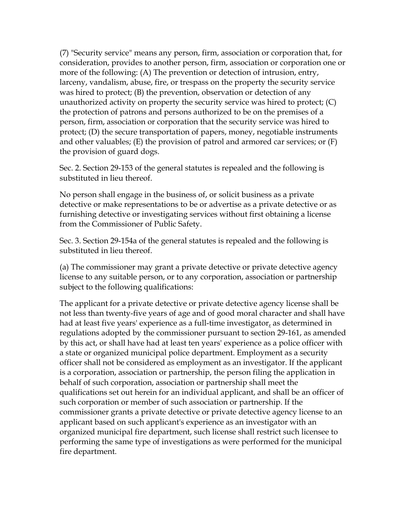(7) "Security service" means any person, firm, association or corporation that, for consideration, provides to another person, firm, association or corporation one or more of the following: (A) The prevention or detection of intrusion, entry, larceny, vandalism, abuse, fire, or trespass on the property the security service was hired to protect; (B) the prevention, observation or detection of any unauthorized activity on property the security service was hired to protect; (C) the protection of patrons and persons authorized to be on the premises of a person, firm, association or corporation that the security service was hired to protect; (D) the secure transportation of papers, money, negotiable instruments and other valuables; (E) the provision of patrol and armored car services; or (F) the provision of guard dogs.

Sec. 2. Section 29-153 of the general statutes is repealed and the following is substituted in lieu thereof.

No person shall engage in the business of, or solicit business as a private detective or make representations to be or advertise as a private detective or as furnishing detective or investigating services without first obtaining a license from the Commissioner of Public Safety.

Sec. 3. Section 29-154a of the general statutes is repealed and the following is substituted in lieu thereof.

(a) The commissioner may grant a private detective or private detective agency license to any suitable person, or to any corporation, association or partnership subject to the following qualifications:

The applicant for a private detective or private detective agency license shall be not less than twenty-five years of age and of good moral character and shall have had at least five years' experience as a full-time investigator, as determined in regulations adopted by the commissioner pursuant to section 29-161, as amended by this act, or shall have had at least ten years' experience as a police officer with a state or organized municipal police department. Employment as a security officer shall not be considered as employment as an investigator. If the applicant is a corporation, association or partnership, the person filing the application in behalf of such corporation, association or partnership shall meet the qualifications set out herein for an individual applicant, and shall be an officer of such corporation or member of such association or partnership. If the commissioner grants a private detective or private detective agency license to an applicant based on such applicant's experience as an investigator with an organized municipal fire department, such license shall restrict such licensee to performing the same type of investigations as were performed for the municipal fire department.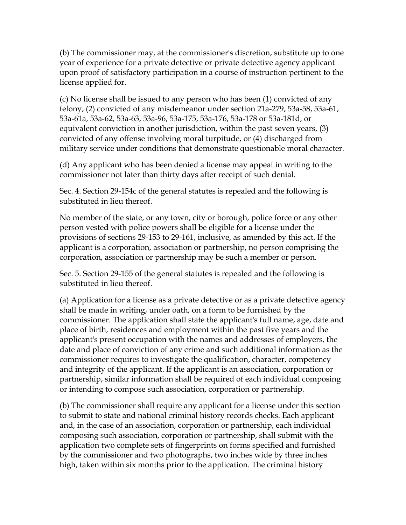(b) The commissioner may, at the commissioner's discretion, substitute up to one year of experience for a private detective or private detective agency applicant upon proof of satisfactory participation in a course of instruction pertinent to the license applied for.

(c) No license shall be issued to any person who has been (1) convicted of any felony, (2) convicted of any misdemeanor under section 21a-279, 53a-58, 53a-61, 53a-61a, 53a-62, 53a-63, 53a-96, 53a-175, 53a-176, 53a-178 or 53a-181d, or equivalent conviction in another jurisdiction, within the past seven years, (3) convicted of any offense involving moral turpitude, or (4) discharged from military service under conditions that demonstrate questionable moral character.

(d) Any applicant who has been denied a license may appeal in writing to the commissioner not later than thirty days after receipt of such denial.

Sec. 4. Section 29-154c of the general statutes is repealed and the following is substituted in lieu thereof.

No member of the state, or any town, city or borough, police force or any other person vested with police powers shall be eligible for a license under the provisions of sections 29-153 to 29-161, inclusive, as amended by this act. If the applicant is a corporation, association or partnership, no person comprising the corporation, association or partnership may be such a member or person.

Sec. 5. Section 29-155 of the general statutes is repealed and the following is substituted in lieu thereof.

(a) Application for a license as a private detective or as a private detective agency shall be made in writing, under oath, on a form to be furnished by the commissioner. The application shall state the applicant's full name, age, date and place of birth, residences and employment within the past five years and the applicant's present occupation with the names and addresses of employers, the date and place of conviction of any crime and such additional information as the commissioner requires to investigate the qualification, character, competency and integrity of the applicant. If the applicant is an association, corporation or partnership, similar information shall be required of each individual composing or intending to compose such association, corporation or partnership.

(b) The commissioner shall require any applicant for a license under this section to submit to state and national criminal history records checks. Each applicant and, in the case of an association, corporation or partnership, each individual composing such association, corporation or partnership, shall submit with the application two complete sets of fingerprints on forms specified and furnished by the commissioner and two photographs, two inches wide by three inches high, taken within six months prior to the application. The criminal history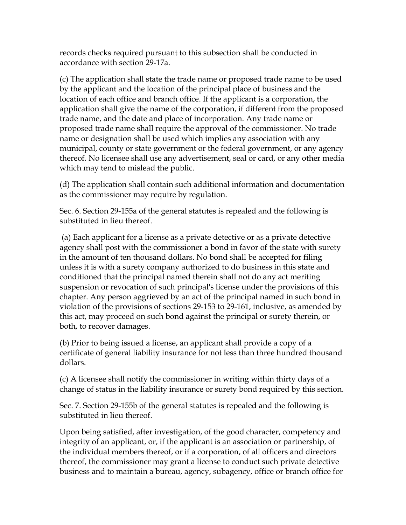records checks required pursuant to this subsection shall be conducted in accordance with section 29-17a.

(c) The application shall state the trade name or proposed trade name to be used by the applicant and the location of the principal place of business and the location of each office and branch office. If the applicant is a corporation, the application shall give the name of the corporation, if different from the proposed trade name, and the date and place of incorporation. Any trade name or proposed trade name shall require the approval of the commissioner. No trade name or designation shall be used which implies any association with any municipal, county or state government or the federal government, or any agency thereof. No licensee shall use any advertisement, seal or card, or any other media which may tend to mislead the public.

(d) The application shall contain such additional information and documentation as the commissioner may require by regulation.

Sec. 6. Section 29-155a of the general statutes is repealed and the following is substituted in lieu thereof.

 (a) Each applicant for a license as a private detective or as a private detective agency shall post with the commissioner a bond in favor of the state with surety in the amount of ten thousand dollars. No bond shall be accepted for filing unless it is with a surety company authorized to do business in this state and conditioned that the principal named therein shall not do any act meriting suspension or revocation of such principal's license under the provisions of this chapter. Any person aggrieved by an act of the principal named in such bond in violation of the provisions of sections 29-153 to 29-161, inclusive, as amended by this act, may proceed on such bond against the principal or surety therein, or both, to recover damages.

(b) Prior to being issued a license, an applicant shall provide a copy of a certificate of general liability insurance for not less than three hundred thousand dollars.

(c) A licensee shall notify the commissioner in writing within thirty days of a change of status in the liability insurance or surety bond required by this section.

Sec. 7. Section 29-155b of the general statutes is repealed and the following is substituted in lieu thereof.

Upon being satisfied, after investigation, of the good character, competency and integrity of an applicant, or, if the applicant is an association or partnership, of the individual members thereof, or if a corporation, of all officers and directors thereof, the commissioner may grant a license to conduct such private detective business and to maintain a bureau, agency, subagency, office or branch office for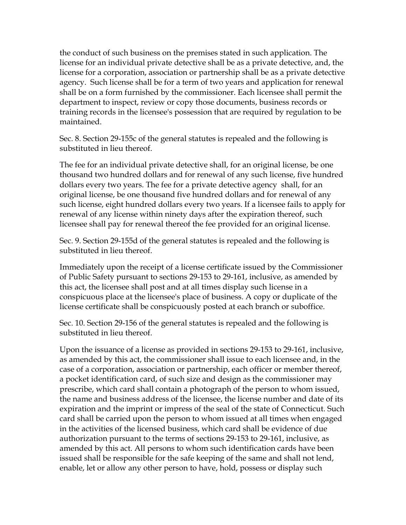the conduct of such business on the premises stated in such application. The license for an individual private detective shall be as a private detective, and, the license for a corporation, association or partnership shall be as a private detective agency. Such license shall be for a term of two years and application for renewal shall be on a form furnished by the commissioner. Each licensee shall permit the department to inspect, review or copy those documents, business records or training records in the licensee's possession that are required by regulation to be maintained.

Sec. 8. Section 29-155c of the general statutes is repealed and the following is substituted in lieu thereof.

The fee for an individual private detective shall, for an original license, be one thousand two hundred dollars and for renewal of any such license, five hundred dollars every two years. The fee for a private detective agency shall, for an original license, be one thousand five hundred dollars and for renewal of any such license, eight hundred dollars every two years. If a licensee fails to apply for renewal of any license within ninety days after the expiration thereof, such licensee shall pay for renewal thereof the fee provided for an original license.

Sec. 9. Section 29-155d of the general statutes is repealed and the following is substituted in lieu thereof.

Immediately upon the receipt of a license certificate issued by the Commissioner of Public Safety pursuant to sections 29-153 to 29-161, inclusive, as amended by this act, the licensee shall post and at all times display such license in a conspicuous place at the licensee's place of business. A copy or duplicate of the license certificate shall be conspicuously posted at each branch or suboffice.

Sec. 10. Section 29-156 of the general statutes is repealed and the following is substituted in lieu thereof.

Upon the issuance of a license as provided in sections 29-153 to 29-161, inclusive, as amended by this act, the commissioner shall issue to each licensee and, in the case of a corporation, association or partnership, each officer or member thereof, a pocket identification card, of such size and design as the commissioner may prescribe, which card shall contain a photograph of the person to whom issued, the name and business address of the licensee, the license number and date of its expiration and the imprint or impress of the seal of the state of Connecticut. Such card shall be carried upon the person to whom issued at all times when engaged in the activities of the licensed business, which card shall be evidence of due authorization pursuant to the terms of sections 29-153 to 29-161, inclusive, as amended by this act. All persons to whom such identification cards have been issued shall be responsible for the safe keeping of the same and shall not lend, enable, let or allow any other person to have, hold, possess or display such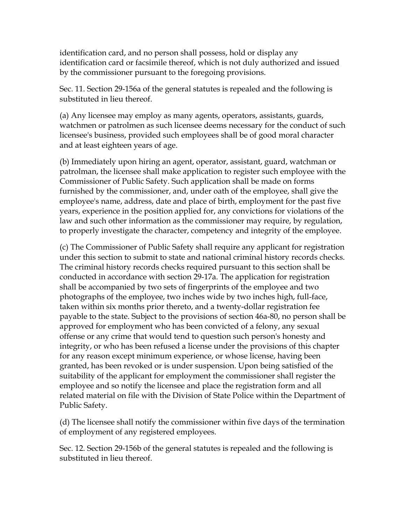identification card, and no person shall possess, hold or display any identification card or facsimile thereof, which is not duly authorized and issued by the commissioner pursuant to the foregoing provisions.

Sec. 11. Section 29-156a of the general statutes is repealed and the following is substituted in lieu thereof.

(a) Any licensee may employ as many agents, operators, assistants, guards, watchmen or patrolmen as such licensee deems necessary for the conduct of such licensee's business, provided such employees shall be of good moral character and at least eighteen years of age.

(b) Immediately upon hiring an agent, operator, assistant, guard, watchman or patrolman, the licensee shall make application to register such employee with the Commissioner of Public Safety. Such application shall be made on forms furnished by the commissioner, and, under oath of the employee, shall give the employee's name, address, date and place of birth, employment for the past five years, experience in the position applied for, any convictions for violations of the law and such other information as the commissioner may require, by regulation, to properly investigate the character, competency and integrity of the employee.

(c) The Commissioner of Public Safety shall require any applicant for registration under this section to submit to state and national criminal history records checks. The criminal history records checks required pursuant to this section shall be conducted in accordance with section 29-17a. The application for registration shall be accompanied by two sets of fingerprints of the employee and two photographs of the employee, two inches wide by two inches high, full-face, taken within six months prior thereto, and a twenty-dollar registration fee payable to the state. Subject to the provisions of section 46a-80, no person shall be approved for employment who has been convicted of a felony, any sexual offense or any crime that would tend to question such person's honesty and integrity, or who has been refused a license under the provisions of this chapter for any reason except minimum experience, or whose license, having been granted, has been revoked or is under suspension. Upon being satisfied of the suitability of the applicant for employment the commissioner shall register the employee and so notify the licensee and place the registration form and all related material on file with the Division of State Police within the Department of Public Safety.

(d) The licensee shall notify the commissioner within five days of the termination of employment of any registered employees.

Sec. 12. Section 29-156b of the general statutes is repealed and the following is substituted in lieu thereof.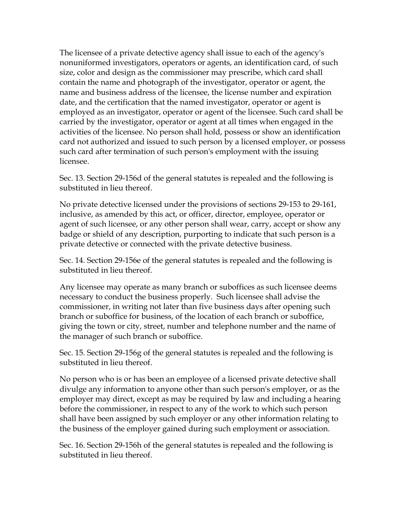The licensee of a private detective agency shall issue to each of the agency's nonuniformed investigators, operators or agents, an identification card, of such size, color and design as the commissioner may prescribe, which card shall contain the name and photograph of the investigator, operator or agent, the name and business address of the licensee, the license number and expiration date, and the certification that the named investigator, operator or agent is employed as an investigator, operator or agent of the licensee. Such card shall be carried by the investigator, operator or agent at all times when engaged in the activities of the licensee. No person shall hold, possess or show an identification card not authorized and issued to such person by a licensed employer, or possess such card after termination of such person's employment with the issuing licensee.

Sec. 13. Section 29-156d of the general statutes is repealed and the following is substituted in lieu thereof.

No private detective licensed under the provisions of sections 29-153 to 29-161, inclusive, as amended by this act, or officer, director, employee, operator or agent of such licensee, or any other person shall wear, carry, accept or show any badge or shield of any description, purporting to indicate that such person is a private detective or connected with the private detective business.

Sec. 14. Section 29-156e of the general statutes is repealed and the following is substituted in lieu thereof.

Any licensee may operate as many branch or suboffices as such licensee deems necessary to conduct the business properly. Such licensee shall advise the commissioner, in writing not later than five business days after opening such branch or suboffice for business, of the location of each branch or suboffice, giving the town or city, street, number and telephone number and the name of the manager of such branch or suboffice.

Sec. 15. Section 29-156g of the general statutes is repealed and the following is substituted in lieu thereof.

No person who is or has been an employee of a licensed private detective shall divulge any information to anyone other than such person's employer, or as the employer may direct, except as may be required by law and including a hearing before the commissioner, in respect to any of the work to which such person shall have been assigned by such employer or any other information relating to the business of the employer gained during such employment or association.

Sec. 16. Section 29-156h of the general statutes is repealed and the following is substituted in lieu thereof.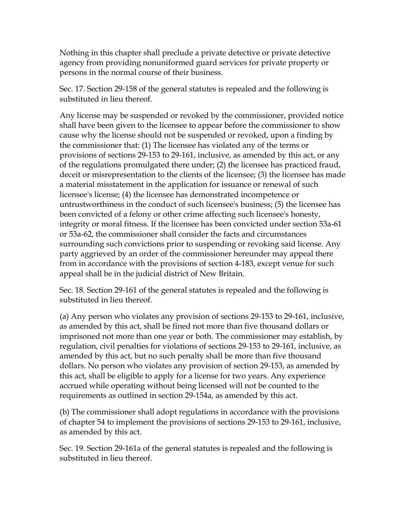Nothing in this chapter shall preclude a private detective or private detective agency from providing nonuniformed guard services for private property or persons in the normal course of their business.

Sec. 17. Section 29-158 of the general statutes is repealed and the following is substituted in lieu thereof.

Any license may be suspended or revoked by the commissioner, provided notice shall have been given to the licensee to appear before the commissioner to show cause why the license should not be suspended or revoked, upon a finding by the commissioner that: (1) The licensee has violated any of the terms or provisions of sections 29-153 to 29-161, inclusive, as amended by this act, or any of the regulations promulgated there under; (2) the licensee has practiced fraud, deceit or misrepresentation to the clients of the licensee; (3) the licensee has made a material misstatement in the application for issuance or renewal of such licensee's license; (4) the licensee has demonstrated incompetence or untrustworthiness in the conduct of such licensee's business; (5) the licensee has been convicted of a felony or other crime affecting such licensee's honesty, integrity or moral fitness. If the licensee has been convicted under section 53a-61 or 53a-62, the commissioner shall consider the facts and circumstances surrounding such convictions prior to suspending or revoking said license. Any party aggrieved by an order of the commissioner hereunder may appeal there from in accordance with the provisions of section 4-183, except venue for such appeal shall be in the judicial district of New Britain.

Sec. 18. Section 29-161 of the general statutes is repealed and the following is substituted in lieu thereof.

(a) Any person who violates any provision of sections 29-153 to 29-161, inclusive, as amended by this act, shall be fined not more than five thousand dollars or imprisoned not more than one year or both. The commissioner may establish, by regulation, civil penalties for violations of sections 29-153 to 29-161, inclusive, as amended by this act, but no such penalty shall be more than five thousand dollars. No person who violates any provision of section 29-153, as amended by this act, shall be eligible to apply for a license for two years. Any experience accrued while operating without being licensed will not be counted to the requirements as outlined in section 29-154a, as amended by this act.

(b) The commissioner shall adopt regulations in accordance with the provisions of chapter 54 to implement the provisions of sections 29-153 to 29-161, inclusive, as amended by this act.

Sec. 19. Section 29-161a of the general statutes is repealed and the following is substituted in lieu thereof.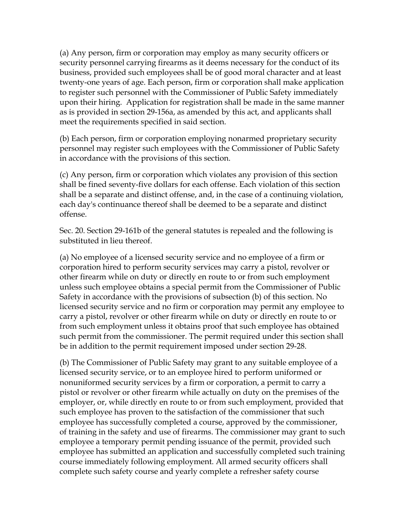(a) Any person, firm or corporation may employ as many security officers or security personnel carrying firearms as it deems necessary for the conduct of its business, provided such employees shall be of good moral character and at least twenty-one years of age. Each person, firm or corporation shall make application to register such personnel with the Commissioner of Public Safety immediately upon their hiring. Application for registration shall be made in the same manner as is provided in section 29-156a, as amended by this act, and applicants shall meet the requirements specified in said section.

(b) Each person, firm or corporation employing nonarmed proprietary security personnel may register such employees with the Commissioner of Public Safety in accordance with the provisions of this section.

(c) Any person, firm or corporation which violates any provision of this section shall be fined seventy-five dollars for each offense. Each violation of this section shall be a separate and distinct offense, and, in the case of a continuing violation, each day's continuance thereof shall be deemed to be a separate and distinct offense.

Sec. 20. Section 29-161b of the general statutes is repealed and the following is substituted in lieu thereof.

(a) No employee of a licensed security service and no employee of a firm or corporation hired to perform security services may carry a pistol, revolver or other firearm while on duty or directly en route to or from such employment unless such employee obtains a special permit from the Commissioner of Public Safety in accordance with the provisions of subsection (b) of this section. No licensed security service and no firm or corporation may permit any employee to carry a pistol, revolver or other firearm while on duty or directly en route to or from such employment unless it obtains proof that such employee has obtained such permit from the commissioner. The permit required under this section shall be in addition to the permit requirement imposed under section 29-28.

(b) The Commissioner of Public Safety may grant to any suitable employee of a licensed security service, or to an employee hired to perform uniformed or nonuniformed security services by a firm or corporation, a permit to carry a pistol or revolver or other firearm while actually on duty on the premises of the employer, or, while directly en route to or from such employment, provided that such employee has proven to the satisfaction of the commissioner that such employee has successfully completed a course, approved by the commissioner, of training in the safety and use of firearms. The commissioner may grant to such employee a temporary permit pending issuance of the permit, provided such employee has submitted an application and successfully completed such training course immediately following employment. All armed security officers shall complete such safety course and yearly complete a refresher safety course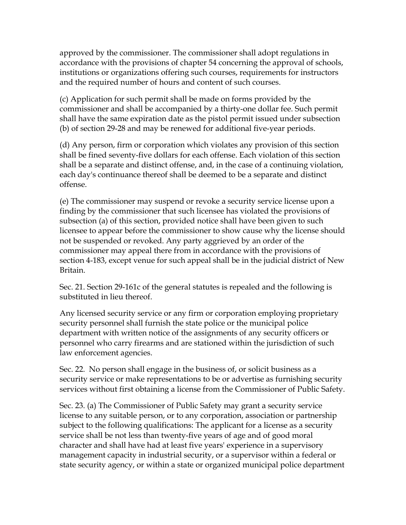approved by the commissioner. The commissioner shall adopt regulations in accordance with the provisions of chapter 54 concerning the approval of schools, institutions or organizations offering such courses, requirements for instructors and the required number of hours and content of such courses.

(c) Application for such permit shall be made on forms provided by the commissioner and shall be accompanied by a thirty-one dollar fee. Such permit shall have the same expiration date as the pistol permit issued under subsection (b) of section 29-28 and may be renewed for additional five-year periods.

(d) Any person, firm or corporation which violates any provision of this section shall be fined seventy-five dollars for each offense. Each violation of this section shall be a separate and distinct offense, and, in the case of a continuing violation, each day's continuance thereof shall be deemed to be a separate and distinct offense.

(e) The commissioner may suspend or revoke a security service license upon a finding by the commissioner that such licensee has violated the provisions of subsection (a) of this section, provided notice shall have been given to such licensee to appear before the commissioner to show cause why the license should not be suspended or revoked. Any party aggrieved by an order of the commissioner may appeal there from in accordance with the provisions of section 4-183, except venue for such appeal shall be in the judicial district of New Britain.

Sec. 21. Section 29-161c of the general statutes is repealed and the following is substituted in lieu thereof.

Any licensed security service or any firm or corporation employing proprietary security personnel shall furnish the state police or the municipal police department with written notice of the assignments of any security officers or personnel who carry firearms and are stationed within the jurisdiction of such law enforcement agencies.

Sec. 22. No person shall engage in the business of, or solicit business as a security service or make representations to be or advertise as furnishing security services without first obtaining a license from the Commissioner of Public Safety.

Sec. 23. (a) The Commissioner of Public Safety may grant a security service license to any suitable person, or to any corporation, association or partnership subject to the following qualifications: The applicant for a license as a security service shall be not less than twenty-five years of age and of good moral character and shall have had at least five years' experience in a supervisory management capacity in industrial security, or a supervisor within a federal or state security agency, or within a state or organized municipal police department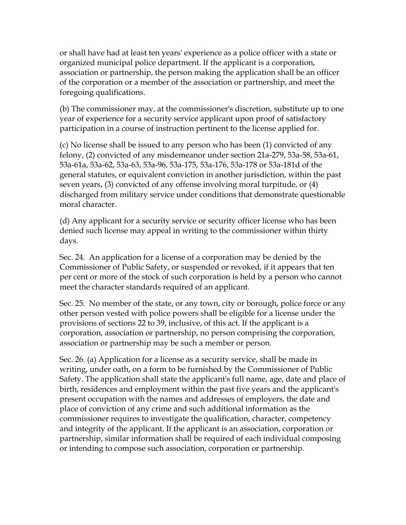or shall have had at least ten years' experience as a police officer with a state or organized municipal police department. If the applicant is a corporation, association or partnership, the person making the application shall be an officer of the corporation or a member of the association or partnership, and meet the foregoing qualifications.

(b) The commissioner may, at the commissioner's discretion, substitute up to one year of experience for a security service applicant upon proof of satisfactory participation in a course of instruction pertinent to the license applied for.

(c) No license shall be issued to any person who has been (1) convicted of any felony, (2) convicted of any misdemeanor under section 21a-279, 53a-58, 53a-61, 53a-61a, 53a-62, 53a-63, 53a-96, 53a-175, 53a-176, 53a-178 or 53a-181d of the general statutes, or equivalent conviction in another jurisdiction, within the past seven years, (3) convicted of any offense involving moral turpitude, or (4) discharged from military service under conditions that demonstrate questionable moral character.

(d) Any applicant for a security service or security officer license who has been denied such license may appeal in writing to the commissioner within thirty days.

Sec. 24. An application for a license of a corporation may be denied by the Commissioner of Public Safety, or suspended or revoked, if it appears that ten per cent or more of the stock of such corporation is held by a person who cannot meet the character standards required of an applicant.

Sec. 25. No member of the state, or any town, city or borough, police force or any other person vested with police powers shall be eligible for a license under the provisions of sections 22 to 39, inclusive, of this act. If the applicant is a corporation, association or partnership, no person comprising the corporation, association or partnership may be such a member or person.

Sec. 26. (a) Application for a license as a security service, shall be made in writing, under oath, on a form to be furnished by the Commissioner of Public Safety. The application shall state the applicant's full name, age, date and place of birth, residences and employment within the past five years and the applicant's present occupation with the names and addresses of employers, the date and place of conviction of any crime and such additional information as the commissioner requires to investigate the qualification, character, competency and integrity of the applicant. If the applicant is an association, corporation or partnership, similar information shall be required of each individual composing or intending to compose such association, corporation or partnership.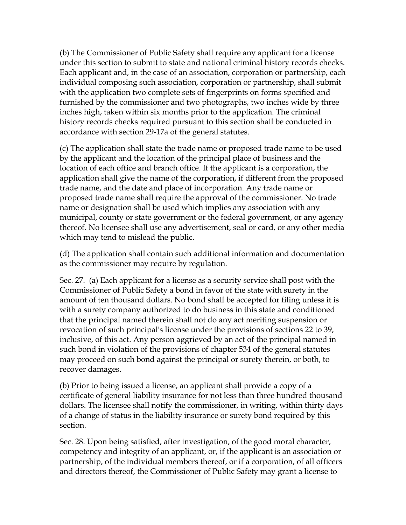(b) The Commissioner of Public Safety shall require any applicant for a license under this section to submit to state and national criminal history records checks. Each applicant and, in the case of an association, corporation or partnership, each individual composing such association, corporation or partnership, shall submit with the application two complete sets of fingerprints on forms specified and furnished by the commissioner and two photographs, two inches wide by three inches high, taken within six months prior to the application. The criminal history records checks required pursuant to this section shall be conducted in accordance with section 29-17a of the general statutes.

(c) The application shall state the trade name or proposed trade name to be used by the applicant and the location of the principal place of business and the location of each office and branch office. If the applicant is a corporation, the application shall give the name of the corporation, if different from the proposed trade name, and the date and place of incorporation. Any trade name or proposed trade name shall require the approval of the commissioner. No trade name or designation shall be used which implies any association with any municipal, county or state government or the federal government, or any agency thereof. No licensee shall use any advertisement, seal or card, or any other media which may tend to mislead the public.

(d) The application shall contain such additional information and documentation as the commissioner may require by regulation.

Sec. 27. (a) Each applicant for a license as a security service shall post with the Commissioner of Public Safety a bond in favor of the state with surety in the amount of ten thousand dollars. No bond shall be accepted for filing unless it is with a surety company authorized to do business in this state and conditioned that the principal named therein shall not do any act meriting suspension or revocation of such principal's license under the provisions of sections 22 to 39, inclusive, of this act. Any person aggrieved by an act of the principal named in such bond in violation of the provisions of chapter 534 of the general statutes may proceed on such bond against the principal or surety therein, or both, to recover damages.

(b) Prior to being issued a license, an applicant shall provide a copy of a certificate of general liability insurance for not less than three hundred thousand dollars. The licensee shall notify the commissioner, in writing, within thirty days of a change of status in the liability insurance or surety bond required by this section.

Sec. 28. Upon being satisfied, after investigation, of the good moral character, competency and integrity of an applicant, or, if the applicant is an association or partnership, of the individual members thereof, or if a corporation, of all officers and directors thereof, the Commissioner of Public Safety may grant a license to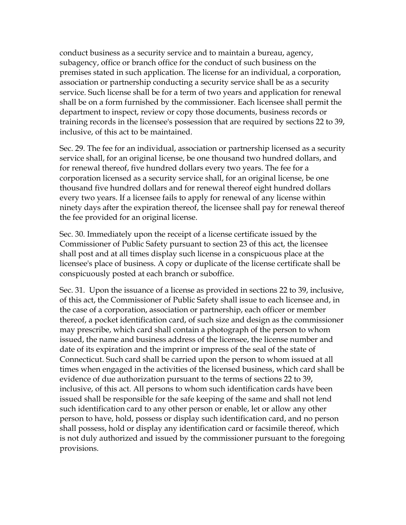conduct business as a security service and to maintain a bureau, agency, subagency, office or branch office for the conduct of such business on the premises stated in such application. The license for an individual, a corporation, association or partnership conducting a security service shall be as a security service. Such license shall be for a term of two years and application for renewal shall be on a form furnished by the commissioner. Each licensee shall permit the department to inspect, review or copy those documents, business records or training records in the licensee's possession that are required by sections 22 to 39, inclusive, of this act to be maintained.

Sec. 29. The fee for an individual, association or partnership licensed as a security service shall, for an original license, be one thousand two hundred dollars, and for renewal thereof, five hundred dollars every two years. The fee for a corporation licensed as a security service shall, for an original license, be one thousand five hundred dollars and for renewal thereof eight hundred dollars every two years. If a licensee fails to apply for renewal of any license within ninety days after the expiration thereof, the licensee shall pay for renewal thereof the fee provided for an original license.

Sec. 30. Immediately upon the receipt of a license certificate issued by the Commissioner of Public Safety pursuant to section 23 of this act, the licensee shall post and at all times display such license in a conspicuous place at the licensee's place of business. A copy or duplicate of the license certificate shall be conspicuously posted at each branch or suboffice.

Sec. 31. Upon the issuance of a license as provided in sections 22 to 39, inclusive, of this act, the Commissioner of Public Safety shall issue to each licensee and, in the case of a corporation, association or partnership, each officer or member thereof, a pocket identification card, of such size and design as the commissioner may prescribe, which card shall contain a photograph of the person to whom issued, the name and business address of the licensee, the license number and date of its expiration and the imprint or impress of the seal of the state of Connecticut. Such card shall be carried upon the person to whom issued at all times when engaged in the activities of the licensed business, which card shall be evidence of due authorization pursuant to the terms of sections 22 to 39, inclusive, of this act. All persons to whom such identification cards have been issued shall be responsible for the safe keeping of the same and shall not lend such identification card to any other person or enable, let or allow any other person to have, hold, possess or display such identification card, and no person shall possess, hold or display any identification card or facsimile thereof, which is not duly authorized and issued by the commissioner pursuant to the foregoing provisions.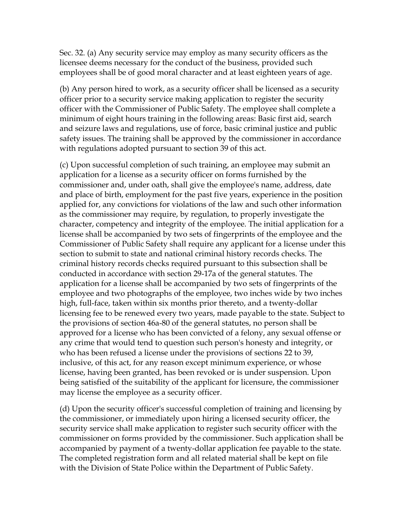Sec. 32. (a) Any security service may employ as many security officers as the licensee deems necessary for the conduct of the business, provided such employees shall be of good moral character and at least eighteen years of age.

(b) Any person hired to work, as a security officer shall be licensed as a security officer prior to a security service making application to register the security officer with the Commissioner of Public Safety. The employee shall complete a minimum of eight hours training in the following areas: Basic first aid, search and seizure laws and regulations, use of force, basic criminal justice and public safety issues. The training shall be approved by the commissioner in accordance with regulations adopted pursuant to section 39 of this act.

(c) Upon successful completion of such training, an employee may submit an application for a license as a security officer on forms furnished by the commissioner and, under oath, shall give the employee's name, address, date and place of birth, employment for the past five years, experience in the position applied for, any convictions for violations of the law and such other information as the commissioner may require, by regulation, to properly investigate the character, competency and integrity of the employee. The initial application for a license shall be accompanied by two sets of fingerprints of the employee and the Commissioner of Public Safety shall require any applicant for a license under this section to submit to state and national criminal history records checks. The criminal history records checks required pursuant to this subsection shall be conducted in accordance with section 29-17a of the general statutes. The application for a license shall be accompanied by two sets of fingerprints of the employee and two photographs of the employee, two inches wide by two inches high, full-face, taken within six months prior thereto, and a twenty-dollar licensing fee to be renewed every two years, made payable to the state. Subject to the provisions of section 46a-80 of the general statutes, no person shall be approved for a license who has been convicted of a felony, any sexual offense or any crime that would tend to question such person's honesty and integrity, or who has been refused a license under the provisions of sections 22 to 39, inclusive, of this act, for any reason except minimum experience, or whose license, having been granted, has been revoked or is under suspension. Upon being satisfied of the suitability of the applicant for licensure, the commissioner may license the employee as a security officer.

(d) Upon the security officer's successful completion of training and licensing by the commissioner, or immediately upon hiring a licensed security officer, the security service shall make application to register such security officer with the commissioner on forms provided by the commissioner. Such application shall be accompanied by payment of a twenty-dollar application fee payable to the state. The completed registration form and all related material shall be kept on file with the Division of State Police within the Department of Public Safety.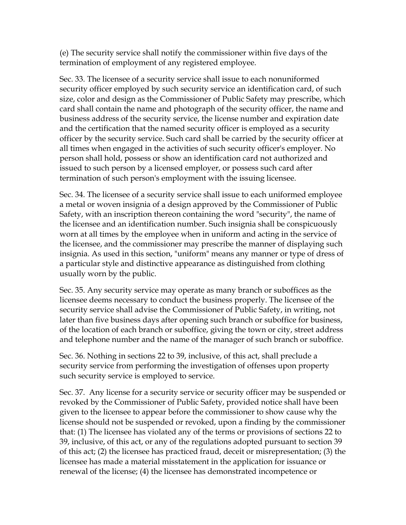(e) The security service shall notify the commissioner within five days of the termination of employment of any registered employee.

Sec. 33. The licensee of a security service shall issue to each nonuniformed security officer employed by such security service an identification card, of such size, color and design as the Commissioner of Public Safety may prescribe, which card shall contain the name and photograph of the security officer, the name and business address of the security service, the license number and expiration date and the certification that the named security officer is employed as a security officer by the security service. Such card shall be carried by the security officer at all times when engaged in the activities of such security officer's employer. No person shall hold, possess or show an identification card not authorized and issued to such person by a licensed employer, or possess such card after termination of such person's employment with the issuing licensee.

Sec. 34. The licensee of a security service shall issue to each uniformed employee a metal or woven insignia of a design approved by the Commissioner of Public Safety, with an inscription thereon containing the word "security", the name of the licensee and an identification number. Such insignia shall be conspicuously worn at all times by the employee when in uniform and acting in the service of the licensee, and the commissioner may prescribe the manner of displaying such insignia. As used in this section, "uniform" means any manner or type of dress of a particular style and distinctive appearance as distinguished from clothing usually worn by the public.

Sec. 35. Any security service may operate as many branch or suboffices as the licensee deems necessary to conduct the business properly. The licensee of the security service shall advise the Commissioner of Public Safety, in writing, not later than five business days after opening such branch or suboffice for business, of the location of each branch or suboffice, giving the town or city, street address and telephone number and the name of the manager of such branch or suboffice.

Sec. 36. Nothing in sections 22 to 39, inclusive, of this act, shall preclude a security service from performing the investigation of offenses upon property such security service is employed to service.

Sec. 37. Any license for a security service or security officer may be suspended or revoked by the Commissioner of Public Safety, provided notice shall have been given to the licensee to appear before the commissioner to show cause why the license should not be suspended or revoked, upon a finding by the commissioner that: (1) The licensee has violated any of the terms or provisions of sections 22 to 39, inclusive, of this act, or any of the regulations adopted pursuant to section 39 of this act; (2) the licensee has practiced fraud, deceit or misrepresentation; (3) the licensee has made a material misstatement in the application for issuance or renewal of the license; (4) the licensee has demonstrated incompetence or